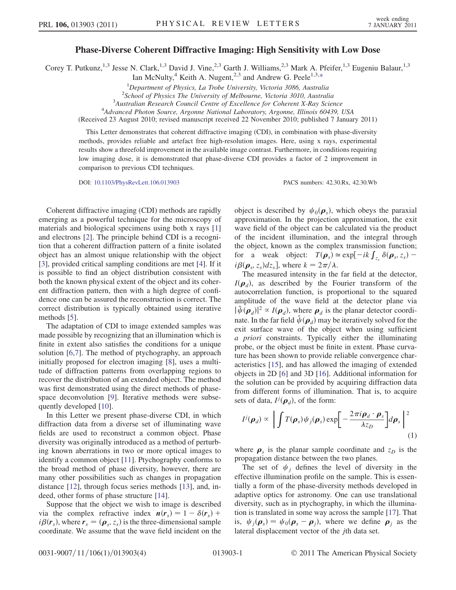## $P_{\text{max}} = P_{\text{max}}$  Coherent Diffractive Imaging: High Sensitivity with Low Dose

<span id="page-0-0"></span>Corey T. Putkunz,<sup>1,3</sup> Jesse N. Clark,<sup>1,3</sup> David J. Vine,<sup>2,3</sup> Garth J. Williams,<sup>2,3</sup> Mark A. Pfeifer,<sup>1,3</sup> Eugeniu Balaur,<sup>1,3</sup>

Ian McNulty,<sup>4</sup> Keith A. Nugent,<sup>2,3</sup> and Andrew G. Peele<sup>1,3,[\\*](#page-3-0)</sup>

<sup>1</sup>Department of Physics, La Trobe University, Victoria 3086, Australia<br><sup>2</sup>Sebool of Physics The University of Melbourne, Victoria 3010, Australia

 $2$ School of Physics The University of Melbourne, Victoria 3010, Australia

<sup>3</sup>Australian Research Council Centre of Excellence for Coherent X-Ray Science

Advanced Photon Source, Argonne National Laboratory, Argonne, Illinois 60439, USA

(Received 23 August 2010; revised manuscript received 22 November 2010; published 7 January 2011)

This Letter demonstrates that coherent diffractive imaging (CDI), in combination with phase-diversity methods, provides reliable and artefact free high-resolution images. Here, using x rays, experimental results show a threefold improvement in the available image contrast. Furthermore, in conditions requiring low imaging dose, it is demonstrated that phase-diverse CDI provides a factor of 2 improvement in comparison to previous CDI techniques.

DOI: [10.1103/PhysRevLett.106.013903](http://dx.doi.org/10.1103/PhysRevLett.106.013903) PACS numbers: 42.30.Rx, 42.30.Wb

Coherent diffractive imaging (CDI) methods are rapidly emerging as a powerful technique for the microscopy of materials and biological specimens using both x rays [\[1\]](#page-3-1) and electrons [\[2](#page-3-2)]. The principle behind CDI is a recognition that a coherent diffraction pattern of a finite isolated object has an almost unique relationship with the object [\[3\]](#page-3-3), provided critical sampling conditions are met [\[4\]](#page-3-4). If it is possible to find an object distribution consistent with both the known physical extent of the object and its coherent diffraction pattern, then with a high degree of confidence one can be assured the reconstruction is correct. The correct distribution is typically obtained using iterative methods [[5](#page-3-5)].

The adaptation of CDI to image extended samples was made possible by recognizing that an illumination which is finite in extent also satisfies the conditions for a unique solution [[6,](#page-3-6)[7\]](#page-3-7). The method of ptychography, an approach initially proposed for electron imaging [[8](#page-3-8)], uses a multitude of diffraction patterns from overlapping regions to recover the distribution of an extended object. The method was first demonstrated using the direct methods of phasespace deconvolution [\[9\]](#page-3-9). Iterative methods were subsequently developed [[10](#page-3-10)].

In this Letter we present phase-diverse CDI, in which diffraction data from a diverse set of illuminating wave fields are used to reconstruct a common object. Phase diversity was originally introduced as a method of perturbing known aberrations in two or more optical images to identify a common object [\[11\]](#page-3-11). Ptychography conforms to the broad method of phase diversity, however, there are many other possibilities such as changes in propagation distance [\[12\]](#page-3-12), through focus series methods [\[13\]](#page-3-13), and, indeed, other forms of phase structure [\[14\]](#page-3-14).

Suppose that the object we wish to image is described via the complex refractive index  $n(r_s) = 1 - \delta(r_s) +$  $i\beta(r_s)$ , where  $r_s = (\rho_s, z_s)$  is the three-dimensional sample coordinate. We assume that the wave field incident on the object is described by  $\psi_0(\boldsymbol{\rho}_s)$ , which obeys the paraxial approximation. In the projection approximation, the exit wave field of the object can be calculated via the product of the incident illumination, and the integral through the object, known as the complex transmission function; for a weak object:  $T(\rho_s) \approx \exp[-ik \int_{z_s} \delta(\rho_s, z_s) - i\theta(\rho_s, z_s)]$  $i\beta(\boldsymbol{\rho}_s, z_s)dz_s$ , where  $k = 2\pi/\lambda$ .<br>The measured intensity in the

The measured intensity in the far field at the detector,  $I(\boldsymbol{\rho}_d)$ , as described by the Fourier transform of the autocorrelation function, is proportional to the squared amplitude of the wave field at the detector plane via  $|\hat{\psi}(\boldsymbol{\rho}_d)|^2 \propto I(\boldsymbol{\rho}_d)$ , where  $\boldsymbol{\rho}_d$  is the planar detector coordinate. In the far field  $\hat{\psi}(\boldsymbol{\rho}_d)$  may be iteratively solved for the exit surface wave of the object when using sufficient a priori constraints. Typically either the illuminating probe, or the object must be finite in extent. Phase curvature has been shown to provide reliable convergence characteristics [[15](#page-3-15)], and has allowed the imaging of extended objects in 2D [\[6\]](#page-3-6) and 3D [[16](#page-3-16)]. Additional information for the solution can be provided by acquiring diffraction data from different forms of illumination. That is, to acquire sets of data,  $I^j(\boldsymbol{\rho}_d)$ , of the form:

$$
I^{j}(\boldsymbol{\rho}_{d}) \propto \left| \int T(\boldsymbol{\rho}_{s}) \psi_{j}(\boldsymbol{\rho}_{s}) \exp \left[ -\frac{2\pi i \boldsymbol{\rho}_{d} \cdot \boldsymbol{\rho}_{s}}{\lambda z_{D}} \right] d\boldsymbol{\rho}_{s} \right|^{2}
$$
(1)

where  $\rho_s$  is the planar sample coordinate and  $z_D$  is the propagation distance between the two planes.

The set of  $\psi_i$  defines the level of diversity in the effective illumination profile on the sample. This is essentially a form of the phase-diversity methods developed in adaptive optics for astronomy. One can use translational diversity, such as in ptychography, in which the illumination is translated in some way across the sample [[17](#page-3-17)]. That is,  $\psi_i(\boldsymbol{\rho}_s) = \psi_0(\boldsymbol{\rho}_s - \boldsymbol{\rho}_i)$ , where we define  $\boldsymbol{\rho}_i$  as the lateral displacement vector of the jth data set.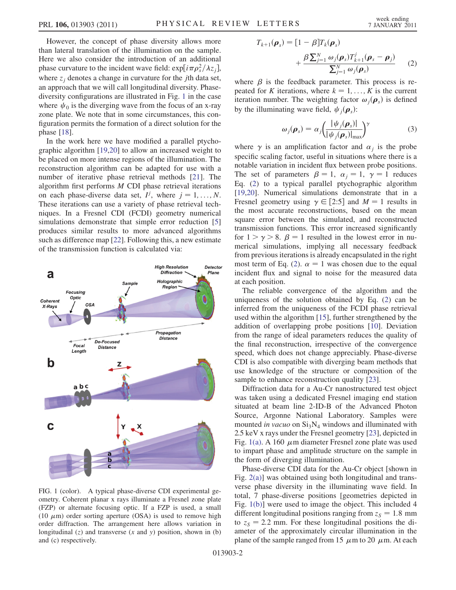However, the concept of phase diversity allows more than lateral translation of the illumination on the sample. Here we also consider the introduction of an additional phase curvature to the incident wave field:  $\exp[i\pi \rho_s^2/\lambda z_j]$ , where  $z_i$  denotes a change in curvature for the *j*th data set, an approach that we will call longitudinal diversity. Phasediversity configurations are illustrated in Fig. [1](#page-1-0) in the case where  $\psi_0$  is the diverging wave from the focus of an x-ray zone plate. We note that in some circumstances, this configuration permits the formation of a direct solution for the phase [\[18\]](#page-3-18).

In the work here we have modified a parallel ptychographic algorithm [[19](#page-3-19)[,20](#page-3-20)] to allow an increased weight to be placed on more intense regions of the illumination. The reconstruction algorithm can be adapted for use with a number of iterative phase retrieval methods [\[21\]](#page-3-21). The algorithm first performs M CDI phase retrieval iterations on each phase-diverse data set,  $I^j$ , where  $j = 1, ..., N$ .<br>These iterations can use a variety of phase retrieval tech-These iterations can use a variety of phase retrieval techniques. In a Fresnel CDI (FCDI) geometry numerical simulations demonstrate that simple error reduction [\[5\]](#page-3-5) produces similar results to more advanced algorithms such as difference map [\[22\]](#page-3-22). Following this, a new estimate of the transmission function is calculated via:

<span id="page-1-0"></span>

<span id="page-1-2"></span>FIG. 1 (color). A typical phase-diverse CDI experimental geometry. Coherent planar x rays illuminate a Fresnel zone plate (FZP) or alternate focusing optic. If a FZP is used, a small (10  $\mu$ m) order sorting aperture (OSA) is used to remove high order diffraction. The arrangement here allows variation in longitudinal  $(z)$  and transverse  $(x \text{ and } y)$  position, shown in  $(b)$ and (c) respectively.

<span id="page-1-1"></span>
$$
T_{k+1}(\boldsymbol{\rho}_s) = [1 - \beta]T_k(\boldsymbol{\rho}_s)
$$
  
+ 
$$
\frac{\beta \sum_{j=1}^N \omega_j(\boldsymbol{\rho}_s) T_{k+1}^j(\boldsymbol{\rho}_s - \boldsymbol{\rho}_j)}{\sum_{j=1}^N \omega_j(\boldsymbol{\rho}_s)}
$$
 (2)

where  $\beta$  is the feedback parameter. This process is repeated for K iterations, where  $k = 1, \ldots, K$  is the current iteration number. The weighting factor  $\omega_i(\boldsymbol{\rho}_s)$  is defined by the illuminating wave field,  $\psi_i(\boldsymbol{\rho}_s)$ :

$$
\omega_j(\boldsymbol{\rho}_s) = \alpha_j \left( \frac{|\psi_j(\boldsymbol{\rho}_s)|}{|\psi_j(\boldsymbol{\rho}_s)|_{\text{max}}} \right)^{\gamma}
$$
 (3)

where  $\gamma$  is an amplification factor and  $\alpha_i$  is the probe specific scaling factor, useful in situations where there is a notable variation in incident flux between probe positions. The set of parameters  $\beta = 1$ ,  $\alpha_j = 1$ ,  $\gamma = 1$  reduces Eq. [\(2](#page-1-1)) to a typical parallel ptychographic algorithm [\[19](#page-3-19)[,20\]](#page-3-20). Numerical simulations demonstrate that in a Fresnel geometry using  $\gamma \in [2:5]$  and  $M = 1$  results in the mean the mean the most accurate reconstructions, based on the mean square error between the simulated, and reconstructed transmission functions. This error increased significantly for  $1 > \gamma > 8$ .  $\beta = 1$  resulted in the lowest error in nu-<br>merical simulations implying all necessary feedback merical simulations, implying all necessary feedback from previous iterations is already encapsulated in the right most term of Eq. [\(2\)](#page-1-1).  $\alpha = 1$  was chosen due to the equal incident flux and signal to noise for the measured data at each position.

The reliable convergence of the algorithm and the uniqueness of the solution obtained by Eq. ([2\)](#page-1-1) can be inferred from the uniqueness of the FCDI phase retrieval used within the algorithm [\[15\]](#page-3-15), further strengthened by the addition of overlapping probe positions [\[10\]](#page-3-10). Deviation from the range of ideal parameters reduces the quality of the final reconstruction, irrespective of the convergence speed, which does not change appreciably. Phase-diverse CDI is also compatible with diverging beam methods that use knowledge of the structure or composition of the sample to enhance reconstruction quality [\[23\]](#page-3-23).

Diffraction data for a Au-Cr nanostructured test object was taken using a dedicated Fresnel imaging end station situated at beam line 2-ID-B of the Advanced Photon Source, Argonne National Laboratory. Samples were mounted in vacuo on  $Si<sub>3</sub>N<sub>4</sub>$  windows and illuminated with 2.5 keV x rays under the Fresnel geometry [\[23\]](#page-3-23), depicted in Fig. [1\(a\).](#page-1-2) A 160  $\mu$ m diameter Fresnel zone plate was used to impart phase and amplitude structure on the sample in the form of diverging illumination.

Phase-diverse CDI data for the Au-Cr object [shown in Fig. [2\(a\)](#page-2-0)] was obtained using both longitudinal and transverse phase diversity in the illuminating wave field. In total, 7 phase-diverse positions [geometries depicted in Fig. [1\(b\)](#page-1-2)] were used to image the object. This included 4 different longitudinal positions ranging from  $z_s = 1.8$  mm to  $z_s = 2.2$  mm. For these longitudinal positions the diameter of the approximately circular illumination in the plane of the sample ranged from 15  $\mu$ m to 20  $\mu$ m. At each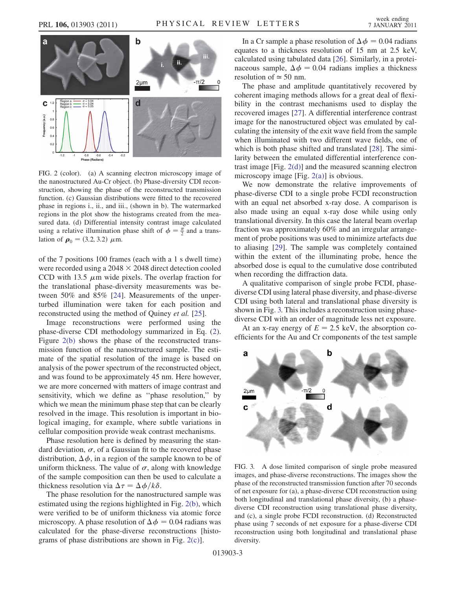

<span id="page-2-0"></span>FIG. 2 (color). (a) A scanning electron microscopy image of the nanostructured Au-Cr object. (b) Phase-diversity CDI reconstruction, showing the phase of the reconstructed transmission function. (c) Gaussian distributions were fitted to the recovered phase in regions i., ii., and iii., (shown in b). The watermarked regions in the plot show the histograms created from the measured data. (d) Differential intensity contrast image calculated using a relative illumination phase shift of  $\phi = \frac{\pi}{2}$  and a translation of  $\rho_0 = (3.2, 3.2) \mu m$ .

of the 7 positions 100 frames (each with a 1 s dwell time) were recorded using a  $2048 \times 2048$  direct detection cooled CCD with 13.5  $\mu$ m wide pixels. The overlap fraction for the translational phase-diversity measurements was between 50% and 85% [\[24\]](#page-3-24). Measurements of the unperturbed illumination were taken for each position and reconstructed using the method of Quiney et al. [[25](#page-3-25)].

Image reconstructions were performed using the phase-diverse CDI methodology summarized in Eq. ([2\)](#page-1-1). Figure [2\(b\)](#page-2-0) shows the phase of the reconstructed transmission function of the nanostructured sample. The estimate of the spatial resolution of the image is based on analysis of the power spectrum of the reconstructed object, and was found to be approximately 45 nm. Here however, we are more concerned with matters of image contrast and sensitivity, which we define as ''phase resolution,'' by which we mean the minimum phase step that can be clearly resolved in the image. This resolution is important in biological imaging, for example, where subtle variations in cellular composition provide weak contrast mechanisms.

Phase resolution here is defined by measuring the standard deviation,  $\sigma$ , of a Gaussian fit to the recovered phase distribution,  $\Delta \phi$ , in a region of the sample known to be of uniform thickness. The value of  $\sigma$  along with knowledge uniform thickness. The value of  $\sigma$ , along with knowledge of the sample composition can then be used to calculate a thickness resolution via  $\Delta \tau = \Delta \phi / k \delta$ .<br>The phase resolution for the papostru

The phase resolution for the nanostructured sample was estimated using the regions highlighted in Fig. [2\(b\)](#page-2-0), which were verified to be of uniform thickness via atomic force microscopy. A phase resolution of  $\Delta \phi = 0.04$  radians was<br>calculated, for the phase-diverse reconstructions lhistocalculated for the phase-diverse reconstructions [histograms of phase distributions are shown in Fig. [2\(c\)](#page-2-0)].

In a Cr sample a phase resolution of  $\Delta \phi = 0.04$  radians<br>uates to a thickness resolution of 15 nm at 2.5 keV equates to a thickness resolution of 15 nm at 2.5 keV, calculated using tabulated data [[26](#page-3-26)]. Similarly, in a proteinaceous sample,  $\Delta \phi = 0.04$  radians implies a thickness resolution of  $\approx 50$  nm resolution of  $\simeq$  50 nm.

The phase and amplitude quantitatively recovered by coherent imaging methods allows for a great deal of flexibility in the contrast mechanisms used to display the recovered images [[27](#page-3-27)]. A differential interference contrast image for the nanostructured object was emulated by calculating the intensity of the exit wave field from the sample when illuminated with two different wave fields, one of which is both phase shifted and translated [\[28\]](#page-3-28). The similarity between the emulated differential interference contrast image [Fig. [2\(d\)](#page-2-0)] and the measured scanning electron microscopy image [Fig. [2\(a\)\]](#page-2-0) is obvious.

We now demonstrate the relative improvements of phase-diverse CDI to a single probe FCDI reconstruction with an equal net absorbed x-ray dose. A comparison is also made using an equal x-ray dose while using only translational diversity. In this case the lateral beam overlap fraction was approximately 60% and an irregular arrangement of probe positions was used to minimize artefacts due to aliasing [\[29\]](#page-3-29). The sample was completely contained within the extent of the illuminating probe, hence the absorbed dose is equal to the cumulative dose contributed when recording the diffraction data.

A qualitative comparison of single probe FCDI, phasediverse CDI using lateral phase diversity, and phase-diverse CDI using both lateral and translational phase diversity is shown in Fig. [3.](#page-2-1) This includes a reconstruction using phasediverse CDI with an order of magnitude less net exposure.

At an x-ray energy of  $E = 2.5$  keV, the absorption coefficients for the Au and Cr components of the test sample

<span id="page-2-1"></span>

FIG. 3. A dose limited comparison of single probe measured images, and phase-diverse reconstructions. The images show the phase of the reconstructed transmission function after 70 seconds of net exposure for (a), a phase-diverse CDI reconstruction using both longitudinal and translational phase diversity, (b) a phasediverse CDI reconstruction using translational phase diversity, and (c), a single probe FCDI reconstruction. (d) Reconstructed phase using 7 seconds of net exposure for a phase-diverse CDI reconstruction using both longitudinal and translational phase diversity.